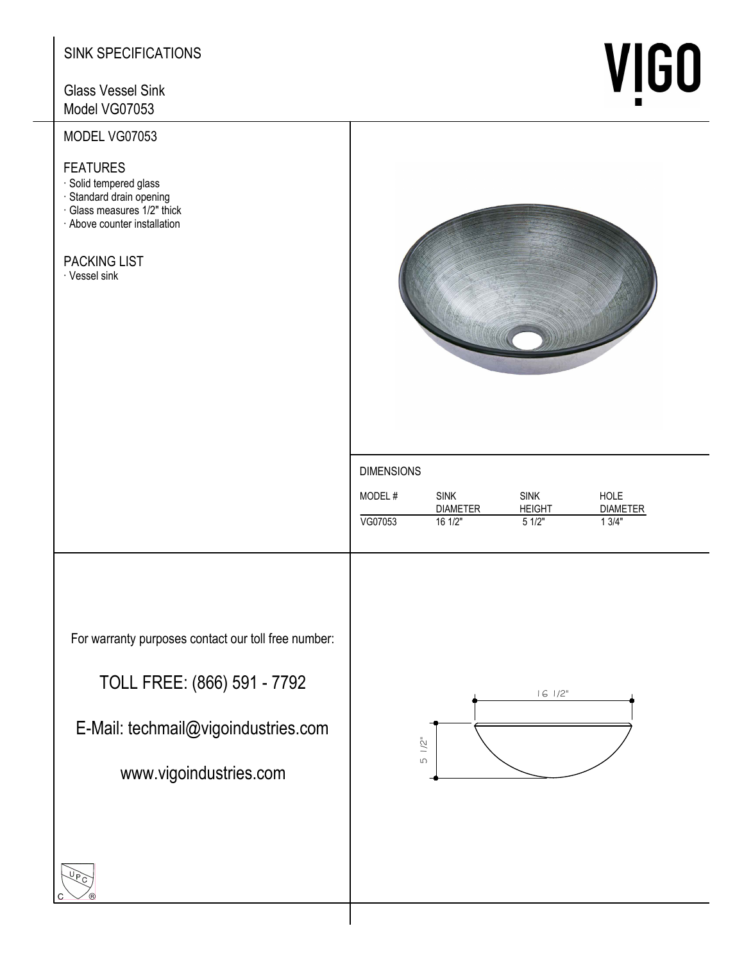# SINK SPECIFICATIONS

**Glass Vessel Sink** Model VG07053

# MODEL VG07053

### **FEATURES**

- · Solid tempered glass
- · Standard drain opening
- · Glass measures 1/2" thick
- · Above counter installation

# **PACKING LIST**

· Vessel sink



### **DIMENSIONS**

| MODEL#  | <b>SINK</b>     | <b>SINK</b>   | HOLE            |
|---------|-----------------|---------------|-----------------|
|         | <b>DIAMETER</b> | <b>HEIGHT</b> | <b>DIAMETER</b> |
| VG07053 | 161/2"          | 51/2"         | 1 3/4"          |

For warranty purposes contact our toll free number:

TOLL FREE: (866) 591 - 7792

E-Mail: techmail@vigoindustries.com

www.vigoindustries.com



# **VIGO**

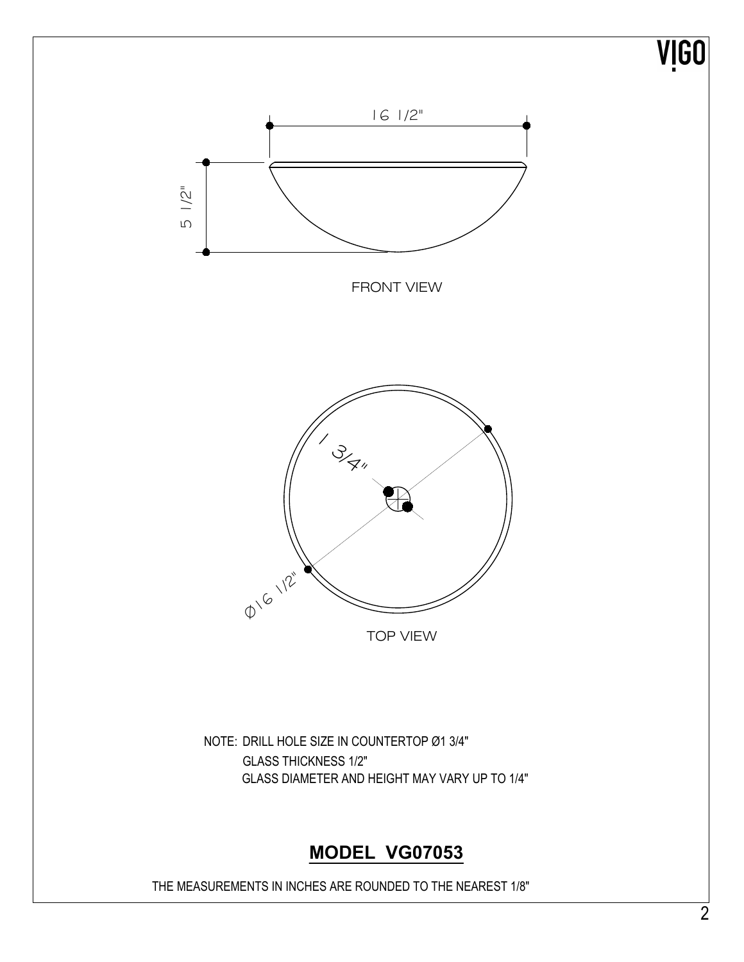

# **MODEL VG07053**

THE MEASUREMENTS IN INCHES ARE ROUNDED TO THE NEAREST 1/8"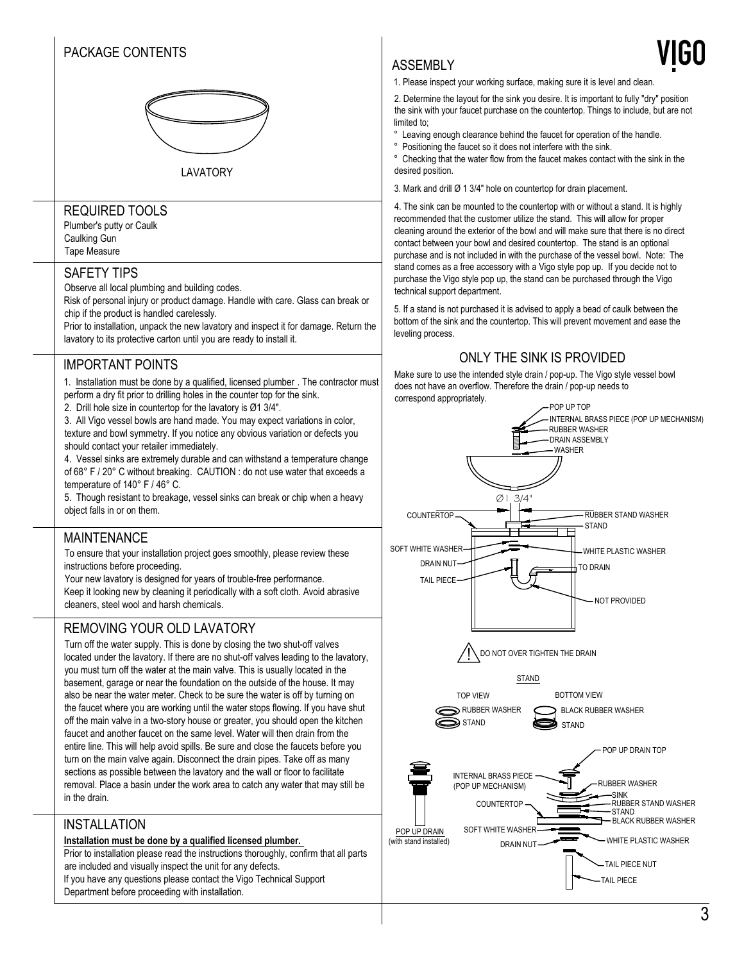# PACKAGE CONTENTS



### LAVATORY

### REQUIRED TOOLS

Plumber's putty or Caulk Caulking Gun Tape Measure

### SAFETY TIPS

Observe all local plumbing and building codes.

Risk of personal injury or product damage. Handle with care. Glass can break or chip if the product is handled carelessly.

Prior to installation, unpack the new lavatory and inspect it for damage. Return the lavatory to its protective carton until you are ready to install it.

### IMPORTANT POINTS

1. Installation must be done by a qualified, licensed plumber . The contractor must

- perform a dry fit prior to drilling holes in the counter top for the sink.
- 2. Drill hole size in countertop for the lavatory is  $Ø13/4"$ .

3. All Vigo vessel bowls are hand made. You may expect variations in color, texture and bowl symmetry. If you notice any obvious variation or defects you should contact your retailer immediately.

4. Vessel sinks are extremely durable and can withstand a temperature change of 68° F / 20° C without breaking. CAUTION: do not use water that exceeds a temperature of  $140^\circ$  F /  $46^\circ$  C.

5. Though resistant to breakage, vessel sinks can break or chip when a heavy object falls in or on them.

### MAINTENANCE

To ensure that your installation project goes smoothly, please review these instructions before proceeding.

Your new lavatory is designed for years of trouble-free performance. Keep it looking new by cleaning it periodically with a soft cloth. Avoid abrasive cleaners, steel wool and harsh chemicals.

### REMOVING YOUR OLD LAVATORY

Turn off the water supply. This is done by closing the two shut-off valves located under the lavatory. If there are no shut-off valves leading to the lavatory, you must turn off the water at the main valve. This is usually located in the basement, garage or near the foundation on the outside of the house. It may also be near the water meter. Check to be sure the water is off by turning on the faucet where you are working until the water stops flowing. If you have shut off the main valve in a two-story house or greater, you should open the kitchen faucet and another faucet on the same level. Water will then drain from the entire line. This will help avoid spills. Be sure and close the faucets before you turn on the main valve again. Disconnect the drain pipes. Take off as many sections as possible between the lavatory and the wall or floor to facilitate removal. Place a basin under the work area to catch any water that may still be in the drain.

### INSTALLATION

### **Installation must be done by a qualified licensed plumber.**

Prior to installation please read the instructions thoroughly, confirm that all parts are included and visually inspect the unit for any defects. If you have any questions please contact the Vigo Technical Support

Department before proceeding with installation.

### ASSEMBLY

1. Please inspect your working surface, making sure it is level and clean.

2. Determine the layout for the sink you desire. It is important to fully "dry" position the sink with your faucet purchase on the countertop. Things to include, but are not limited to;

° Leaving enough clearance behind the faucet for operation of the handle.

° Positioning the faucet so it does not interfere with the sink.

 $\degree$  Checking that the water flow from the faucet makes contact with the sink in the desired position.

3. Mark and drill  $Ø$  1 3/4" hole on countertop for drain placement.

4. The sink can be mounted to the countertop with or without a stand. It is highly recommended that the customer utilize the stand. This will allow for proper cleaning around the exterior of the bowl and will make sure that there is no direct contact between your bowl and desired countertop. The stand is an optional purchase and is not included in with the purchase of the vessel bowl. Note: The stand comes as a free accessory with a Vigo style pop up. If you decide not to purchase the Vigo style pop up, the stand can be purchased through the Vigo technical support department.

5. If a stand is not purchased it is advised to apply a bead of caulk between the bottom of the sink and the countertop. This will prevent movement and ease the leveling process.

### ONLY THE SINK IS PROVIDED

Make sure to use the intended style drain / pop-up. The Vigo style vessel bowl does not have an overflow. Therefore the drain / pop-up needs to correspond appropriately.

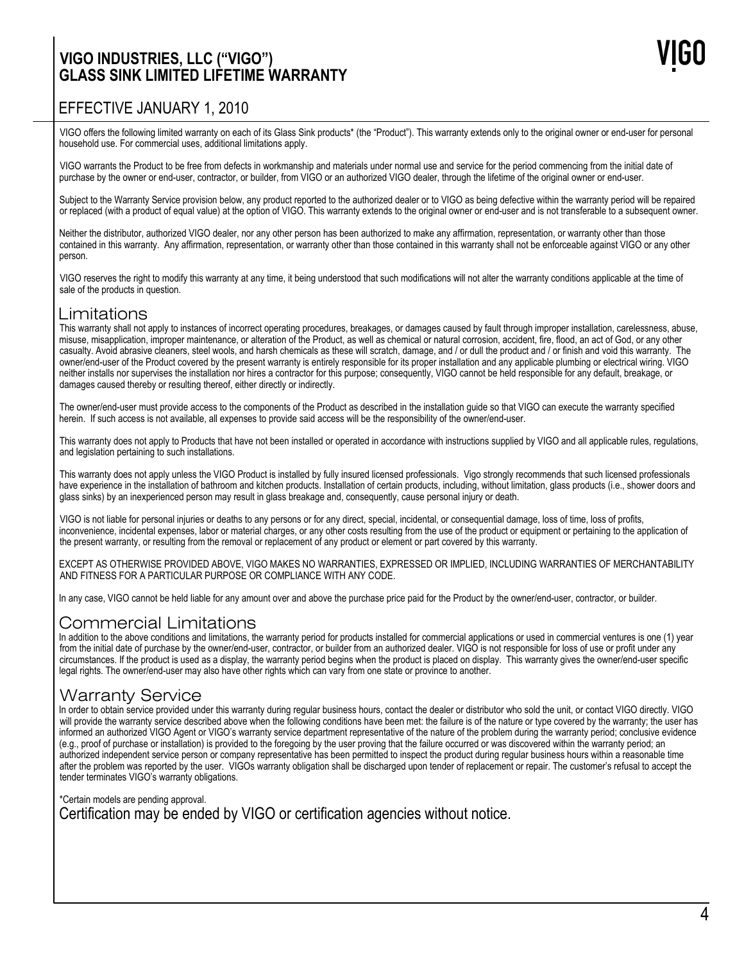# **VIGO INDUSTRIES, LLC ("VIGO") GLASS SINK LIMITED LIFETIME WARRANTY**

# EFFECTIVE JANUARY 1, 2010

VIGO offers the following limited warranty on each of its Glass Sink products\* (the "Product"). This warranty extends only to the original owner or end-user for personal household use. For commercial uses, additional limitations apply.

VIGO warrants the Product to be free from defects in workmanship and materials under normal use and service for the period commencing from the initial date of purchase by the owner or end-user, contractor, or builder, from VIGO or an authorized VIGO dealer, through the lifetime of the original owner or end-user.

Subject to the Warranty Service provision below, any product reported to the authorized dealer or to VIGO as being defective within the warranty period will be repaired or replaced (with a product of equal value) at the option of VIGO. This warranty extends to the original owner or end-user and is not transferable to a subsequent owner.

Neither the distributor, authorized VIGO dealer, nor any other person has been authorized to make any affirmation, representation, or warranty other than those contained in this warranty. Any affirmation, representation, or warranty other than those contained in this warranty shall not be enforceable against VIGO or any other person.

VIGO reserves the right to modify this warranty at any time, it being understood that such modifications will not alter the warranty conditions applicable at the time of sale of the products in question.

# Limitations

This warranty shall not apply to instances of incorrect operating procedures, breakages, or damages caused by fault through improper installation, carelessness, abuse, misuse, misapplication, improper maintenance, or alteration of the Product, as well as chemical or natural corrosion, accident, fire, flood, an act of God, or any other casualty. Avoid abrasive cleaners, steel wools, and harsh chemicals as these will scratch, damage, and / or dull the product and / or finish and void this warranty. The owner/end-user of the Product covered by the present warranty is entirely responsible for its proper installation and any applicable plumbing or electrical wiring. VIGO neither installs nor supervises the installation nor hires a contractor for this purpose; consequently, VIGO cannot be held responsible for any default, breakage, or damages caused thereby or resulting thereof, either directly or indirectly.

The owner/end-user must provide access to the components of the Product as described in the installation guide so that VIGO can execute the warranty specified herein. If such access is not available, all expenses to provide said access will be the responsibility of the owner/end-user.

This warranty does not apply to Products that have not been installed or operated in accordance with instructions supplied by VIGO and all applicable rules, regulations, and legislation pertaining to such installations.

This warranty does not apply unless the VIGO Product is installed by fully insured licensed professionals. Vigo strongly recommends that such licensed professionals have experience in the installation of bathroom and kitchen products. Installation of certain products, including, without limitation, glass products (i.e., shower doors and glass sinks) by an inexperienced person may result in glass breakage and, consequently, cause personal injury or death.

VIGO is not liable for personal injuries or deaths to any persons or for any direct, special, incidental, or consequential damage, loss of time, loss of profits, inconvenience, incidental expenses, labor or material charges, or any other costs resulting from the use of the product or equipment or pertaining to the application of the present warranty, or resulting from the removal or replacement of any product or element or part covered by this warranty.

EXCEPT AS OTHERWISE PROVIDED ABOVE, VIGO MAKES NO WARRANTIES, EXPRESSED OR IMPLIED, INCLUDING WARRANTIES OF MERCHANTABILITY AND FITNESS FOR A PARTICULAR PURPOSE OR COMPLIANCE WITH ANY CODE.

In any case, VIGO cannot be held liable for any amount over and above the purchase price paid for the Product by the owner/end-user, contractor, or builder.

### Commercial Limitations

In addition to the above conditions and limitations, the warranty period for products installed for commercial applications or used in commercial ventures is one (1) year from the initial date of purchase by the owner/end-user, contractor, or builder from an authorized dealer. VIGO is not responsible for loss of use or profit under any circumstances. If the product is used as a display, the warranty period begins when the product is placed on display. This warranty gives the owner/end-user specific legal rights. The owner/end-user may also have other rights which can vary from one state or province to another.

# Warranty Service

In order to obtain service provided under this warranty during regular business hours, contact the dealer or distributor who sold the unit, or contact VIGO directly. VIGO will provide the warranty service described above when the following conditions have been met: the failure is of the nature or type covered by the warranty; the user has informed an authorized VIGO Agent or VIGO's warranty service department representative of the nature of the problem during the warranty period; conclusive evidence (e.g., proof of purchase or installation) is provided to the foregoing by the user proving that the failure occurred or was discovered within the warranty period; an authorized independent service person or company representative has been permitted to inspect the product during regular business hours within a reasonable time after the problem was reported by the user. VIGOs warranty obligation shall be discharged upon tender of replacement or repair. The customer's refusal to accept the tender terminates VIGO's warranty obligations.

\*Certain models are pending approval. Certification may be ended by VIGO or certification agencies without notice.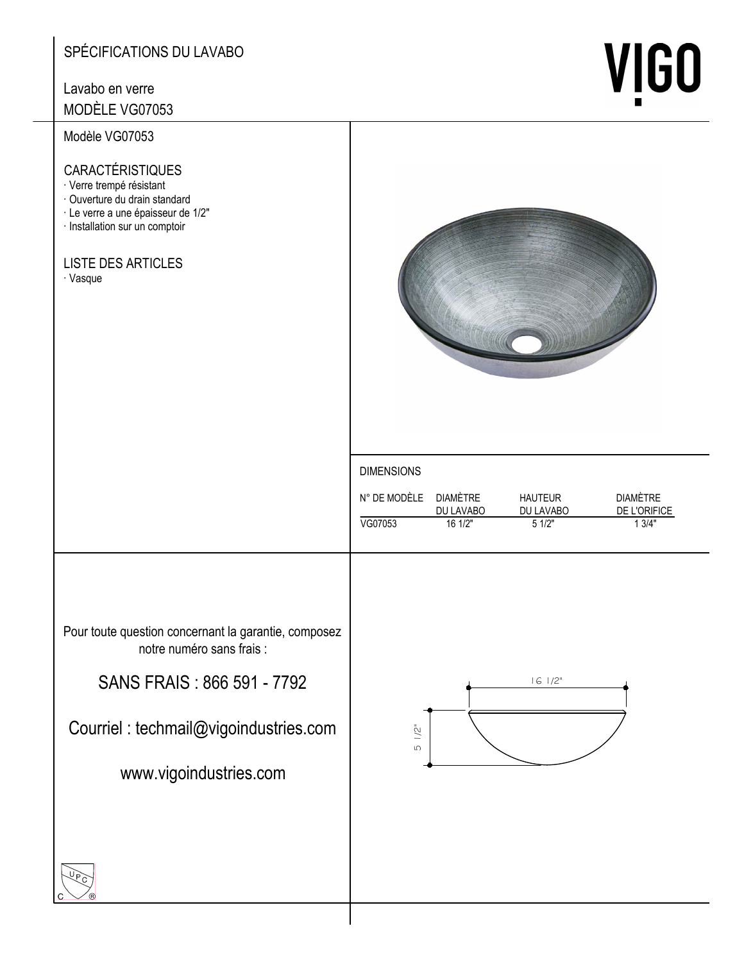# SPÉCIFICATIONS DU LAVABO

# Lavabo en verre

MODÈLE VG07053

# Modèle VG07053

### **CARACTÉRISTIQUES**

- · Verre trempé résistant
- · Ouverture du drain standard
- · Le verre a une épaisseur de 1/2"
- · Installation sur un comptoir

# **LISTE DES ARTICLES**

· Vasque



**VIGO** 

### **DIMENSIONS**

| N° DE MODÈI E DIAMÈTRE |           | <b>HAUTEUR</b> | <b>DIAMÈTRE</b> |
|------------------------|-----------|----------------|-----------------|
|                        | DU LAVABO | DU LAVABO      | DE L'ORIFICE    |
| VG07053                | 161/2"    | 51/2"          | 1.3/4"          |
|                        |           |                |                 |

Pour toute question concernant la garantie, composez notre numéro sans frais :

SANS FRAIS: 866 591 - 7792

Courriel : techmail@vigoindustries.com

www.vigoindustries.com



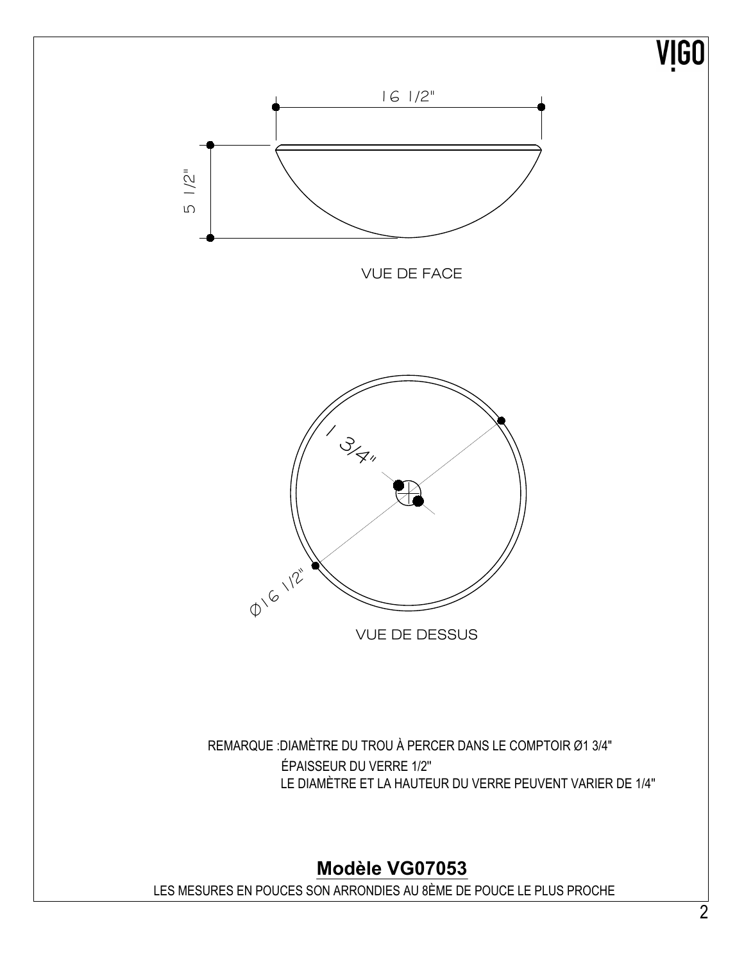

Modèle VG07053

LES MESURES EN POUCES SON ARRONDIES AU 8ÈME DE POUCE LE PLUS PROCHE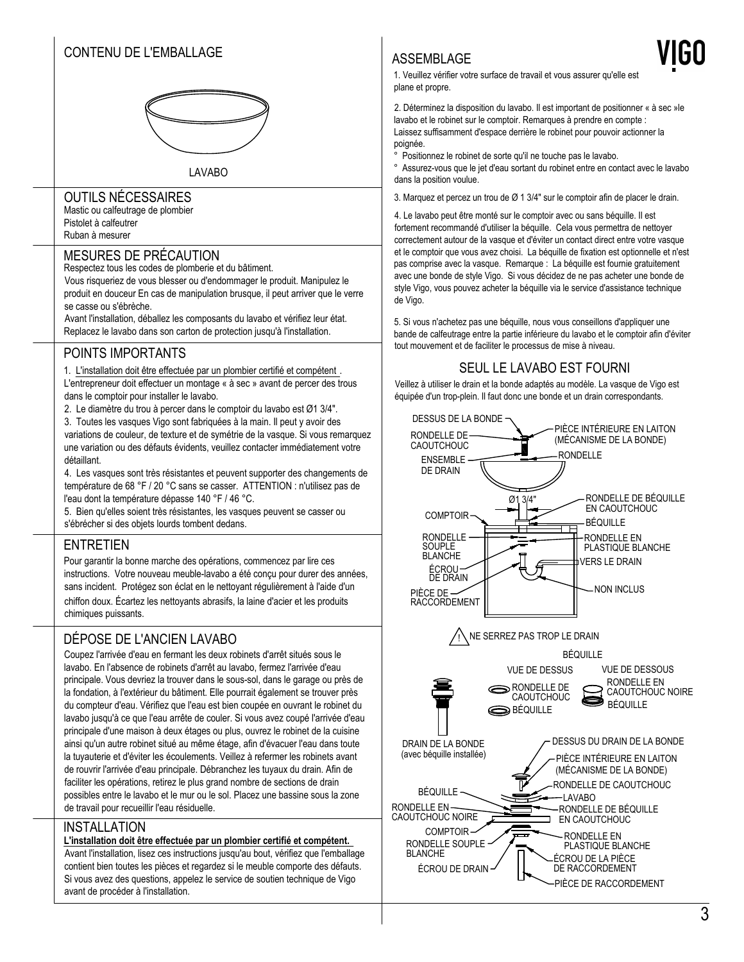# CONTENU DE L'EMBALLAGE



LAVABO

### OUTILS NÉCESSAIRES

Mastic ou calfeutrage de plombier Pistolet à calfeutrer Ruhan à mesurer

### MESURES DE PRÉCAUTION

Respectez tous les codes de plomberie et du bâtiment.

Vous risqueriez de vous blesser ou d'endommager le produit. Manipulez le produit en douceur En cas de manipulation brusque, il peut arriver que le verre se casse ou s'ébrèche.

Avant l'installation, déballez les composants du lavabo et vérifiez leur état. Replacez le lavabo dans son carton de protection jusqu'à l'installation.

### POINTS IMPORTANTS

1. L'installation doit être effectuée par un plombier certifié et compétent. L'entrepreneur doit effectuer un montage « à sec » avant de percer des trous  $\qquad \qquad \mid$ dans le comptoir pour installer le lavabo.

2. Le diamètre du trou à percer dans le comptoir du lavabo est Ø1 3/4".

3. Toutes les vasques Vigo sont fabriquées à la main. Il peut y avoir des variations de couleur, de texture et de symétrie de la vasque. Si vous remarquez une variation ou des défauts évidents, veuillez contacter immédiatement votre détaillant

4. Les vasques sont très résistantes et peuvent supporter des changements de température de 68 °F / 20 °C sans se casser. ATTENTION : n'utilisez pas de  $\qquad$ l'eau dont la température dépasse 140 °F / 46 °C.

5. Bien qu'elles soient très résistantes, les vasques peuvent se casser ou s'ébrécher si des objets lourds tombent dedans.

### ENTRETIEN

Pour garantir la bonne marche des opérations, commencez par lire ces instructions. Votre nouveau meuble-lavabo a été conçu pour durer des années, sans incident. Protégez son éclat en le nettoyant régulièrement à l'aide d'un  $\qquad \qquad \vert$ chiffon doux. Écartez les nettoyants abrasifs, la laine d'acier et les produits chimiques puissants.

### DÉPOSE DE L'ANCIEN LAVABO

Coupez l'arrivée d'eau en fermant les deux robinets d'arrêt situés sous le lavabo. En l'absence de robinets d'arrêt au lavabo, fermez l'arrivée d'eau principale. Vous devriez la trouver dans le sous-sol, dans le garage ou près de la fondation, à l'extérieur du bâtiment. Elle pourrait également se trouver près  $\qquad \qquad \vert$ du compteur d'eau. Vérifiez que l'eau est bien coupée en ouvrant le robinet du lette de lette de le lavabo jusqu'à ce que l'eau arrête de couler. Si vous avez coupé l'arrivée d'eau lette de la fondat principale d'une maison à deux étages ou plus, ouvrez le robinet de la cuisine de la suite de la cuisine ainsi qu'un autre robinet situé au même étage, afin d'évacuer l'eau dans toute de trai la tuyauterie et d'éviter les écoulements. Veillez à refermer les robinets avant de rouvrir l'arrivée d'eau principale. Débranchez les tuyaux du drain. Afin de strait de faciliter les opérations, retirez le plus grand nombre de sections de drain possibles entre le lavabo et le mur ou le sol. Placez une bassine sous la zone de travail pour recueillir l'eau résiduelle.

### INSTALLATION

L'installation doit être effectuée par un plombier certifié et compétent.

Avant l'installation, lisez ces instructions jusqu'au bout, vérifiez que l'emballage la la la consta contient bien toutes les pièces et regardez si le meuble comporte des défauts. Si vous avez des questions, appelez le service de soutien technique de Vigo avant de procéder à l'installation.

### ASSEMBLAGE

1. Veuillez vérifier votre surface de travail et vous assurer qu'elle est plane et propre.

2. Déterminez la disposition du lavabo. Il est important de positionner « à sec »le lavabo et le robinet sur le comptoir. Remarques à prendre en compte : Laissez suffisamment d'espace derrière le robinet pour pouvoir actionner la

poignée. ° Positionnez le robinet de sorte qu'il ne touche pas le lavabo.

° Assurez-vous que le jet d'eau sortant du robinet entre en contact avec le lavabo dans la position voulue.

3. Marquez et percez un trou de  $\varnothing$  1 3/4" sur le comptoir afin de placer le drain.

4. Le lavabo peut être monté sur le comptoir avec ou sans béquille. Il est fortement recommandé d'utiliser la béquille. Cela vous permettra de nettoyer correctement autour de la vasque et d'éviter un contact direct entre votre vasque et le comptoir que vous avez choisi. La béquille de fixation est optionnelle et n'est pas comprise avec la vasque. Remarque : La béquille est fournie gratuitement avec une bonde de style Vigo. Si vous décidez de ne pas acheter une bonde de style Vigo, vous pouvez acheter la béquille via le service d'assistance technique de Vigo.

5. Si vous n'achetez pas une béquille, nous vous conseillons d'appliquer une bande de calfeutrage entre la partie inférieure du lavabo et le comptoir afin d'éviter tout mouvement et de faciliter le processus de mise à niveau.

### SEUL LE LAVABO EST FOURNI

Veillez à utiliser le drain et la bonde adaptés au modèle. La vasque de Vigo est équipée d'un trop-plein. Il faut donc une bonde et un drain correspondants.

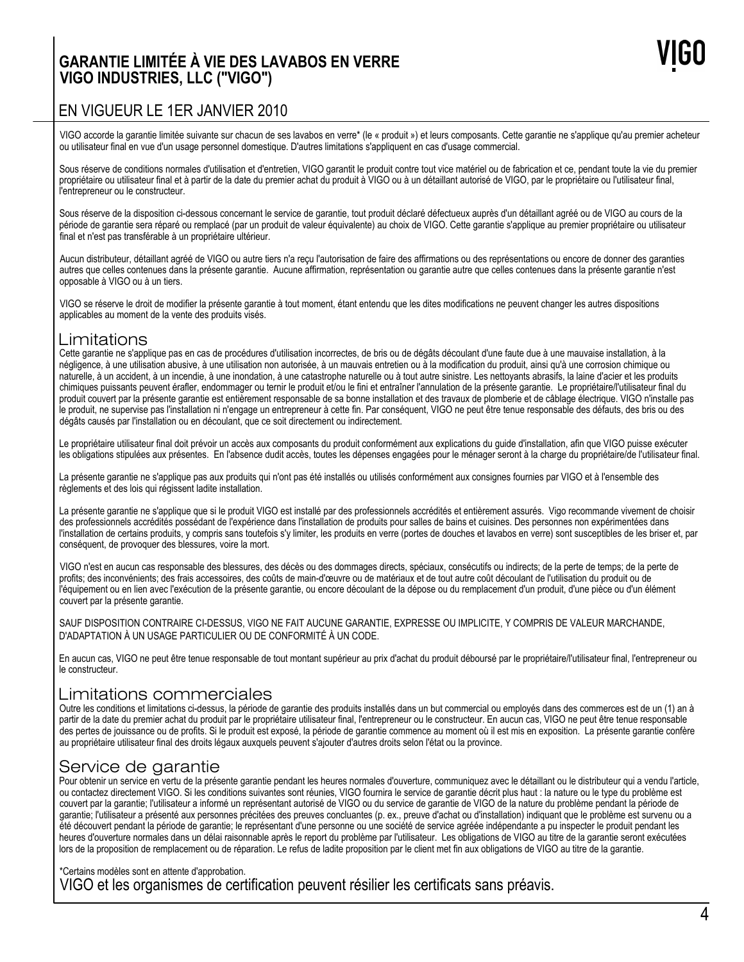# **GARANTIE LIMITÉE À VIE DES LAVABOS EN VERRE VIGO INDUSTRIES, LLC ("VIGO")**

# EN VIGUEUR LE 1ER JANVIER 2010

VIGO accorde la garantie limitée suivante sur chacun de ses lavabos en verre\* (le « produit ») et leurs composants. Cette garantie ne s'applique qu'au premier acheteur ou utilisateur final en vue d'un usage personnel domestique. D'autres limitations s'appliquent en cas d'usage commercial.

Sous réserve de conditions normales d'utilisation et d'entretien, VIGO garantit le produit contre tout vice matériel ou de fabrication et ce, pendant toute la vie du premier propriétaire ou utilisateur final et à partir de la date du premier achat du produit à VIGO ou à un détaillant autorisé de VIGO, par le propriétaire ou l'utilisateur final, l'entrepreneur ou le constructeur.

Sous réserve de la disposition ci-dessous concernant le service de garantie, tout produit déclaré défectueux auprès d'un détaillant agréé ou de VIGO au cours de la période de garantie sera réparé ou remplacé (par un produit de valeur équivalente) au choix de VIGO. Cette garantie s'applique au premier propriétaire ou utilisateur final et n'est pas transférable à un propriétaire ultérieur.

Aucun distributeur, détaillant agréé de VIGO ou autre tiers n'a reçu l'autorisation de faire des affirmations ou des représentations ou encore de donner des garanties autres que celles contenues dans la présente garantie. Aucune affirmation, représentation ou garantie autre que celles contenues dans la présente garantie n'est opposable à VIGO ou à un tiers.

VIGO se réserve le droit de modifier la présente garantie à tout moment, étant entendu que les dites modifications ne peuvent changer les autres dispositions applicables au moment de la vente des produits visés.

### Limitations

Cette garantie ne s'applique pas en cas de procédures d'utilisation incorrectes, de bris ou de dégâts découlant d'une faute due à une mauvaise installation, à la négligence, à une utilisation abusive, à une utilisation non autorisée, à un mauvais entretien ou à la modification du produit, ainsi qu'à une corrosion chimique ou naturelle, à un accident, à un incendie, à une inondation, à une catastrophe naturelle ou à tout autre sinistre. Les nettoyants abrasifs, la laine d'acier et les produits chimiques puissants peuvent érafler, endommager ou ternir le produit et/ou le fini et entraîner l'annulation de la présente garantie. Le propriétaire/l'utilisateur final du produit couvert par la présente garantie est entièrement responsable de sa bonne installation et des travaux de plomberie et de câblage électrique. VIGO n'installe pas le produit, ne supervise pas l'installation ni n'engage un entrepreneur à cette fin. Par conséquent, VIGO ne peut être tenue responsable des défauts, des bris ou des dégâts causés par l'installation ou en découlant, que ce soit directement ou indirectement.

Le propriétaire utilisateur final doit prévoir un accès aux composants du produit conformément aux explications du guide d'installation, afin que VIGO puisse exécuter les obligations stipulées aux présentes. En l'absence dudit accès, toutes les dépenses engagées pour le ménager seront à la charge du propriétaire/de l'utilisateur final.

La présente garantie ne s'applique pas aux produits qui n'ont pas été installés ou utilisés conformément aux consignes fournies par VIGO et à l'ensemble des règlements et des lois qui régissent ladite installation.

La présente garantie ne s'applique que si le produit VIGO est installé par des professionnels accrédités et entièrement assurés. Vigo recommande vivement de choisir des professionnels accrédités possédant de l'expérience dans l'installation de produits pour salles de bains et cuisines. Des personnes non expérimentées dans l'installation de certains produits, y compris sans toutefois s'y limiter, les produits en verre (portes de douches et lavabos en verre) sont susceptibles de les briser et, par conséquent, de provoquer des blessures, voire la mort.

VIGO n'est en aucun cas responsable des blessures, des décès ou des dommages directs, spéciaux, consécutifs ou indirects; de la perte de temps; de la perte de temps; profits; des inconvénients; des frais accessoires, des coûts de main-d'œuvre ou de matériaux et de tout autre coût découlant de l'utilisation du produit ou de l'équipement ou en lien avec l'exécution de la présente garantie, ou encore découlant de la dépose ou du remplacement d'un produit, d'une pièce ou d'un élément couvert par la présente garantie.

SAUF DISPOSITION CONTRAIRE CI-DESSUS, VIGO NE FAIT AUCUNE GARANTIE, EXPRESSE OU IMPLICITE, Y COMPRIS DE VALEUR MARCHANDE, D'ADAPTATION À UN USAGE PARTICULIER OU DE CONFORMITÉ À UN CODE.

En aucun cas, VIGO ne peut être tenue responsable de tout montant supérieur au prix d'achat du produit déboursé par le propriétaire/l'utilisateur final, l'entrepreneur ou le constructeur.

# Limitations commerciales

Outre les conditions et limitations ci-dessus, la période de garantie des produits installés dans un but commercial ou employés dans des commerces est de un (1) an à partir de la date du premier achat du produit par le propriétaire utilisateur final, l'entrepreneur ou le constructeur. En aucun cas, VIGO ne peut être tenue responsable des pertes de jouissance ou de profits. Si le produit est exposé, la période de garantie commence au moment où il est mis en exposition. La présente garantie confère au propriétaire utilisateur final des droits légaux auxquels peuvent s'ajouter d'autres droits selon l'état ou la province.

# Service de garantie

Pour obtenir un service en vertu de la présente garantie pendant les heures normales d'ouverture, communiquez avec le détaillant ou le distributeur qui a vendu l'article, ou contactez directement VIGO. Si les conditions suivantes sont réunies, VIGO fournira le service de garantie décrit plus haut : la nature ou le type du problème est couvert par la garantie; l'utilisateur a informé un représentant autorisé de VIGO ou du service de garantie de VIGO de la nature du problème pendant la période de garantie; l'utilisateur a présenté aux personnes précitées des preuves concluantes (p. ex., preuve d'achat ou d'installation) indiquant que le problème est survenu ou a été découvert pendant la période de garantie; le représentant d'une personne ou une société de service agréée indépendante a pu inspecter le produit pendant les heures d'ouverture normales dans un délai raisonnable après le report du problème par l'utilisateur. Les obligations de VIGO au titre de la garantie seront exécutées lors de la proposition de remplacement ou de réparation. Le refus de ladite proposition par le client met fin aux obligations de VIGO au titre de la garantie.

### \*Certains modèles sont en attente d'approbation.

VIGO et les organismes de certification peuvent résilier les certificats sans préavis.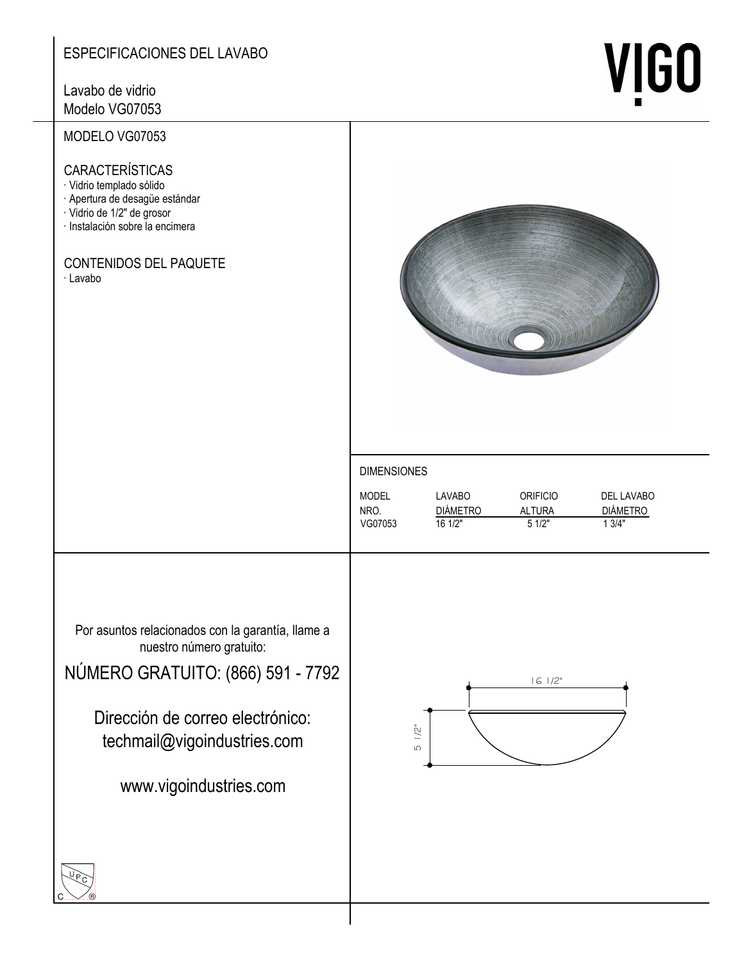# ESPECIFICACIONES DEL LAVABO

Lavabo de vidrio Modelo VG07053

# MODELO VG07053

CARACTERÍSTICAS

- · Vidrio templado sólido
- Apertura de desagüe estándar
- · Vidrio de 1/2" de grosor
- · Instalación sobre la encimera

# CONTENIDOS DEL PAQUETE

· Lavabo



**VIGO** 

### **DIMENSIONES**

| <b>MODEL</b> | LAVABO          | ORIFICIO | DEL LAVABO      |
|--------------|-----------------|----------|-----------------|
| NRO.         | <b>DIÁMETRO</b> | ALTURA   | <b>DIÁMETRO</b> |
| VG07053      | 161/2"          | 51/2"    | 1.3/4"          |

Por asuntos relacionados con la garantía, llame a nuestro número gratuito:

NÚMERO GRATUITO: (866) 591 - 7792

Dirección de correo electrónico: techmail@vigoindustries.com

www.vigoindustries.com



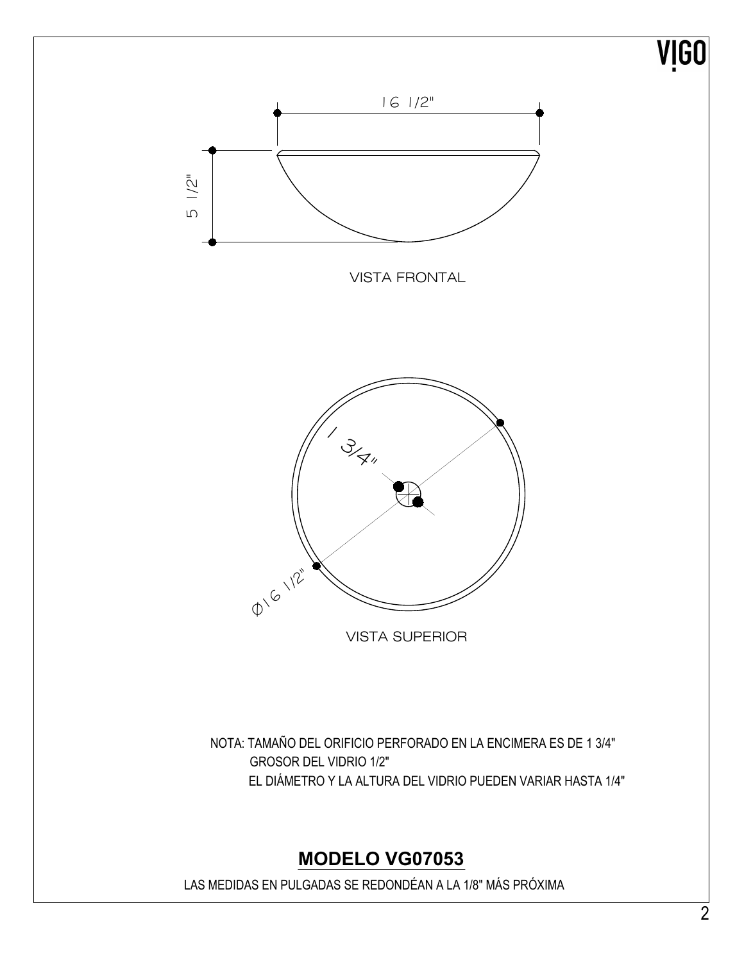# VIGO



NOTA: TAMAÑO DEL ORIFICIO PERFORADO EN LA ENCIMERA ES DE 1 3/4" **GROSOR DEL VIDRIO 1/2"** EL DIÁMETRO Y LA ALTURA DEL VIDRIO PUEDEN VARIAR HASTA 1/4"

# **MODELO VG07053**

LAS MEDIDAS EN PULGADAS SE REDONDÉAN A LA 1/8" MÁS PRÓXIMA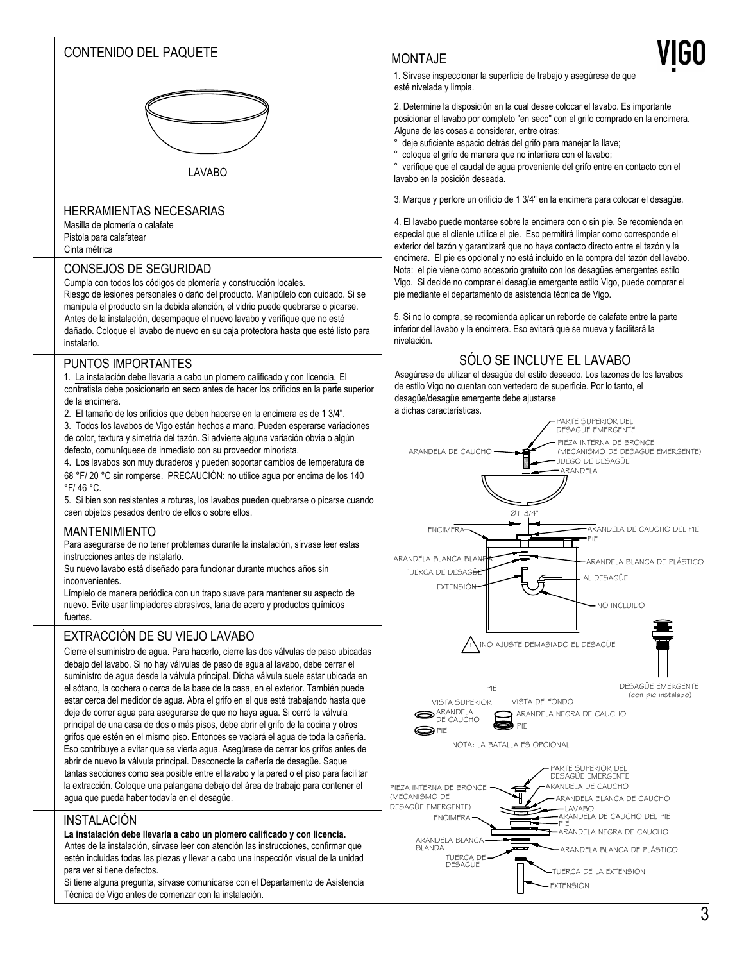# CONTENIDO DEL PAQUETE



**LAVABO** 

### **HERRAMIENTAS NECESARIAS**

Masilla de plomería o calafate Pistola para calafatear Cinta métrica

### **CONSEJOS DE SEGURIDAD**

Cumpla con todos los códigos de plomería y construcción locales.

Riesgo de lesiones personales o daño del producto. Manipúlelo con cuidado. Si se manipula el producto sin la debida atención, el vidrio puede quebrarse o picarse. Antes de la instalación, desempaque el nuevo lavabo y verifique que no esté dañado. Coloque el lavabo de nuevo en su caja protectora hasta que esté listo para instalarlo.

### PUNTOS IMPORTANTES

1. La instalación debe llevarla a cabo un plomero calificado y con licencia. El contratista debe posicionarlo en seco antes de hacer los orificios en la parte superior de la encimera.

2. El tamaño de los orificios que deben hacerse en la encimera es de 1 3/4".

3. Todos los lavabos de Vigo están hechos a mano. Pueden esperarse variaciones de color, textura y simetría del tazón. Si advierte alguna variación obvia o algún defecto, comuníquese de inmediato con su proveedor minorista.

4. Los lavabos son muy duraderos y pueden soportar cambios de temperatura de 68 °F/20 °C sin romperse. PRECAUCIÓN: no utilice agua por encima de los 140 °F/46 °C.

5. Si bien son resistentes a roturas, los lavabos pueden quebrarse o picarse cuando caen objetos pesados dentro de ellos o sobre ellos.

### **MANTENIMIENTO**

Para asegurarse de no tener problemas durante la instalación, sírvase leer estas instrucciones antes de instalarlo.

Su nuevo lavabo está diseñado para funcionar durante muchos años sin inconvenientes

Límpielo de manera periódica con un trapo suave para mantener su aspecto de nuevo. Evite usar limpiadores abrasivos, lana de acero y productos químicos fuertes

### EXTRACCIÓN DE SU VIEJO LAVABO

Cierre el suministro de agua. Para hacerlo, cierre las dos válvulas de paso ubicadas debaio del lavabo. Si no hay válvulas de paso de agua al lavabo, debe cerrar el suministro de agua desde la válvula principal. Dicha válvula suele estar ubicada en el sótano, la cochera o cerca de la base de la casa, en el exterior. También puede estar cerca del medidor de agua. Abra el grifo en el que esté trabajando hasta que deje de correr agua para asegurarse de que no haya agua. Si cerró la válvula principal de una casa de dos o más pisos, debe abrir el grifo de la cocina y otros grifos que estén en el mismo piso. Entonces se vaciará el agua de toda la cañería. Eso contribuye a evitar que se vierta agua. Asegúrese de cerrar los grifos antes de abrir de nuevo la válvula principal. Desconecte la cañería de desagüe. Saque tantas secciones como sea posible entre el lavabo y la pared o el piso para facilitar la extracción. Coloque una palangana debajo del área de trabajo para contener el agua que pueda haber todavía en el desagüe.

### INSTALACIÓN

### La instalación debe llevarla a cabo un plomero calificado y con licencia.

Antes de la instalación, sírvase leer con atención las instrucciones, confirmar que estén incluidas todas las piezas y llevar a cabo una inspección visual de la unidad para ver si tiene defectos

Si tiene alguna pregunta, sírvase comunicarse con el Departamento de Asistencia Técnica de Vigo antes de comenzar con la instalación.

### MONTA.JF

esté nivelada y limpia.

1. Sírvase inspeccionar la superficie de trabajo y asegúrese de que

2. Determine la disposición en la cual desee colocar el lavabo. Es importante posicionar el lavabo por completo "en seco" con el grifo comprado en la encimera. Alguna de las cosas a considerar, entre otras:

- deje suficiente espacio detrás del grifo para manejar la llave;
- coloque el grifo de manera que no interfiera con el lavabo;

verifique que el caudal de agua proveniente del grifo entre en contacto con el lavabo en la posición deseada.

3. Marque y perfore un orificio de 1 3/4" en la encimera para colocar el desagüe.

4. El lavabo puede montarse sobre la encimera con o sin pie. Se recomienda en especial que el cliente utilice el pie. Eso permitirá limpiar como corresponde el exterior del tazón y garantizará que no haya contacto directo entre el tazón y la encimera. El pie es opcional y no está incluido en la compra del tazón del lavabo. Nota: el pie viene como accesorio gratuito con los desagües emergentes estilo Vigo. Si decide no comprar el desagüe emergente estilo Vigo, puede comprar el pie mediante el departamento de asistencia técnica de Vigo.

5. Si no lo compra, se recomienda aplicar un reborde de calafate entre la parte inferior del lavabo y la encimera. Eso evitará que se mueva y facilitará la nivelación.

## SÓLO SE INCLUYE EL LAVABO

Asegúrese de utilizar el desagüe del estilo deseado. Los tazones de los lavabos de estilo Vigo no cuentan con vertedero de superficie. Por lo tanto, el desagüe/desagüe emergente debe ajustarse

a dichas características.